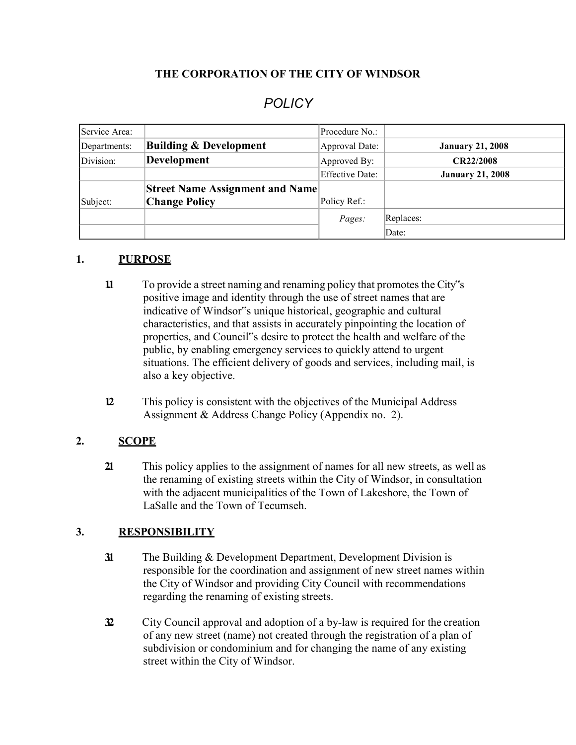### **THE CORPORATION OF THE CITY OF WINDSOR**

# *POLICY*

| Service Area: |                                        | Procedure No.:         |                         |
|---------------|----------------------------------------|------------------------|-------------------------|
| Departments:  | <b>Building &amp; Development</b>      | Approval Date:         | <b>January 21, 2008</b> |
| Division:     | Development                            | Approved By:           | <b>CR22/2008</b>        |
|               |                                        | <b>Effective Date:</b> | <b>January 21, 2008</b> |
|               | <b>Street Name Assignment and Name</b> |                        |                         |
| Subject:      | <b>Change Policy</b>                   | Policy Ref.:           |                         |
|               |                                        | Pages:                 | Replaces:               |
|               |                                        |                        | Date:                   |

#### **1. PURPOSE**

- **1.1** To provide a street naming and renaming policy that promotes the City"s positive image and identity through the use of street names that are indicative of Windsor"s unique historical, geographic and cultural characteristics, and that assists in accurately pinpointing the location of properties, and Council"s desire to protect the health and welfare of the public, by enabling emergency services to quickly attend to urgent situations. The efficient delivery of goods and services, including mail, is also a key objective.
- **12** This policy is consistent with the objectives of the Municipal Address Assignment & Address Change Policy (Appendix no. 2).

#### **2. SCOPE**

**2.1** This policy applies to the assignment of names for all new streets, as well as the renaming of existing streets within the City of Windsor, in consultation with the adjacent municipalities of the Town of Lakeshore, the Town of LaSalle and the Town of Tecumseh.

#### **3. RESPONSIBILITY**

- **31** The Building & Development Department, Development Division is responsible for the coordination and assignment of new street names within the City of Windsor and providing City Council with recommendations regarding the renaming of existing streets.
- **3.2** City Council approval and adoption of a by-law is required for the creation of any new street (name) not created through the registration of a plan of subdivision or condominium and for changing the name of any existing street within the City of Windsor.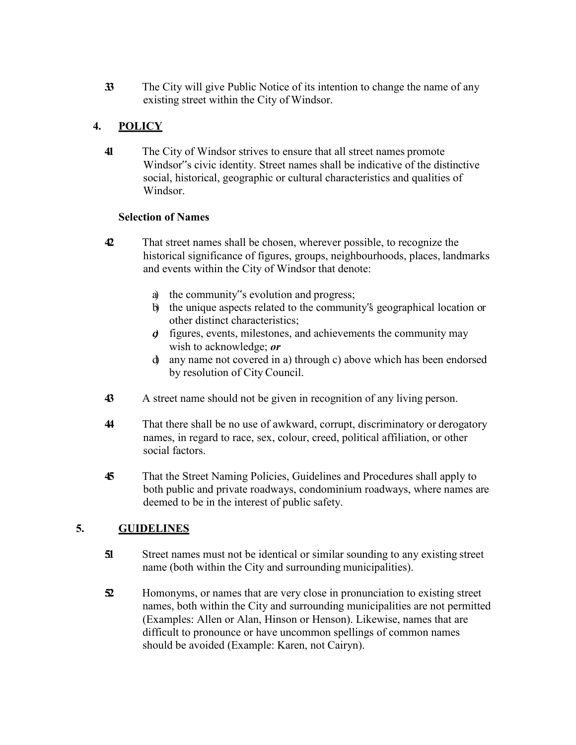**3.3** The City will give Public Notice of its intention to change the name of any existing street within the City of Windsor.

# **4. POLICY**

**4.1** The City of Windsor strives to ensure that all street names promote Windsor"s civic identity. Street names shall be indicative of the distinctive social, historical, geographic or cultural characteristics and qualities of Windsor.

### **Selection of Names**

- **4.2** That street names shall be chosen, wherever possible, to recognize the historical significance of figures, groups, neighbourhoods, places, landmarks and events within the City of Windsor that denote:
	- a) the community"s evolution and progress;
	- b) the unique aspects related to the community"s geographical location or other distinct characteristics;
	- *c)* figures, events, milestones, and achievements the community may wish to acknowledge; *or*
	- d) any name not covered in a) through c) above which has been endorsed by resolution of City Council.
- **4.3** A street name should not be given in recognition of any living person.
- **4.4** That there shall be no use of awkward, corrupt, discriminatory or derogatory names, in regard to race, sex, colour, creed, political affiliation, or other social factors.
- **4.5** That the Street Naming Policies, Guidelines and Procedures shall apply to both public and private roadways, condominium roadways, where names are deemed to be in the interest of public safety.

# **5. GUIDELINES**

- **51** Street names must not be identical or similar sounding to any existing street name (both within the City and surrounding municipalities).
- **5.2** Homonyms, or names that are very close in pronunciation to existing street names, both within the City and surrounding municipalities are not permitted (Examples: Allen or Alan, Hinson or Henson). Likewise, names that are difficult to pronounce or have uncommon spellings of common names should be avoided (Example: Karen, not Cairyn).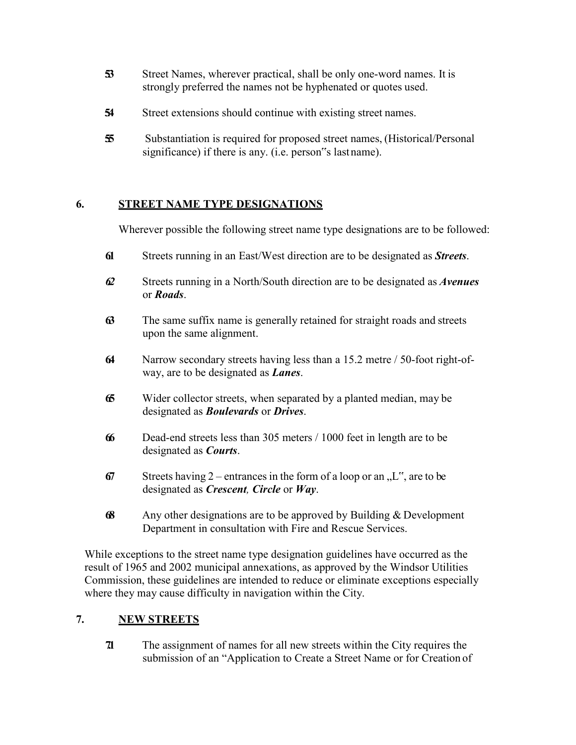- **53** Street Names, wherever practical, shall be only one-word names. It is strongly preferred the names not be hyphenated or quotes used.
- **54** Street extensions should continue with existing street names.
- **5.5** Substantiation is required for proposed street names, (Historical/Personal significance) if there is any. (i.e. person"s lastname).

### **6. STREET NAME TYPE DESIGNATIONS**

Wherever possible the following street name type designations are to be followed:

- **6.1** Streets running in an East/West direction are to be designated as *Streets*.
- *6.2* Streets running in a North/South direction are to be designated as *Avenues* or *Roads*.
- **6.3** The same suffix name is generally retained for straight roads and streets upon the same alignment.
- **6.4** Narrow secondary streets having less than a 15.2 metre / 50-foot right-ofway, are to be designated as *Lanes*.
- **6.5** Wider collector streets, when separated by a planted median, may be designated as *Boulevards* or *Drives*.
- **6.6** Dead-end streets less than 305 meters / 1000 feet in length are to be designated as *Courts*.
- **67** Streets having 2 entrances in the form of a loop or an  $,L^{\prime\prime}$ , are to be designated as *Crescent, Circle* or *Way*.
- **68** Any other designations are to be approved by Building & Development Department in consultation with Fire and Rescue Services.

While exceptions to the street name type designation guidelines have occurred as the result of 1965 and 2002 municipal annexations, as approved by the Windsor Utilities Commission, these guidelines are intended to reduce or eliminate exceptions especially where they may cause difficulty in navigation within the City.

### **7. NEW STREETS**

**7.1** The assignment of names for all new streets within the City requires the submission of an "Application to Create a Street Name or for Creation of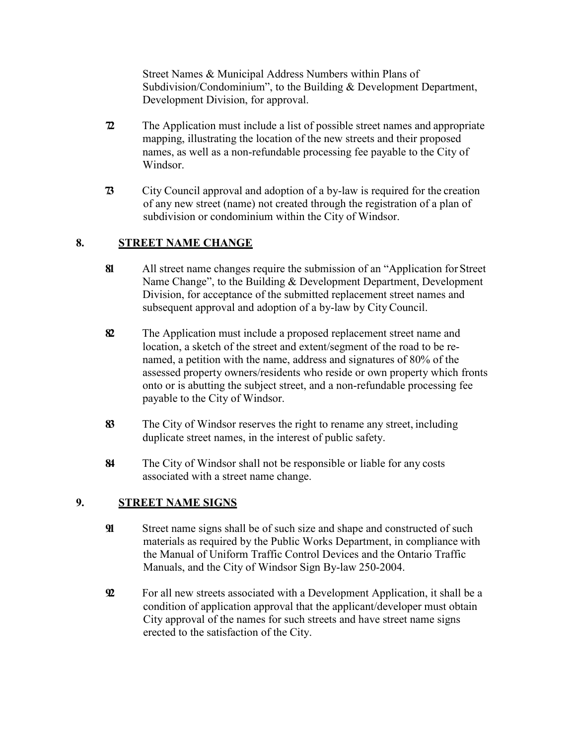Street Names & Municipal Address Numbers within Plans of Subdivision/Condominium", to the Building & Development Department, Development Division, for approval.

- **72** The Application must include a list of possible street names and appropriate mapping, illustrating the location of the new streets and their proposed names, as well as a non-refundable processing fee payable to the City of Windsor.
- **7.3** City Council approval and adoption of a by-law is required for the creation of any new street (name) not created through the registration of a plan of subdivision or condominium within the City of Windsor.

# **8. STREET NAME CHANGE**

- **8.1** All street name changes require the submission of an "Application forStreet Name Change", to the Building & Development Department, Development Division, for acceptance of the submitted replacement street names and subsequent approval and adoption of a by-law by City Council.
- **8.2** The Application must include a proposed replacement street name and location, a sketch of the street and extent/segment of the road to be renamed, a petition with the name, address and signatures of 80% of the assessed property owners/residents who reside or own property which fronts onto or is abutting the subject street, and a non-refundable processing fee payable to the City of Windsor.
- **8.3** The City of Windsor reserves the right to rename any street, including duplicate street names, in the interest of public safety.
- **8.4** The City of Windsor shall not be responsible or liable for any costs associated with a street name change.

### **9. STREET NAME SIGNS**

- **91** Street name signs shall be of such size and shape and constructed of such materials as required by the Public Works Department, in compliance with the Manual of Uniform Traffic Control Devices and the Ontario Traffic Manuals, and the City of Windsor Sign By-law 250-2004.
- **9.2** For all new streets associated with a Development Application, it shall be a condition of application approval that the applicant/developer must obtain City approval of the names for such streets and have street name signs erected to the satisfaction of the City.